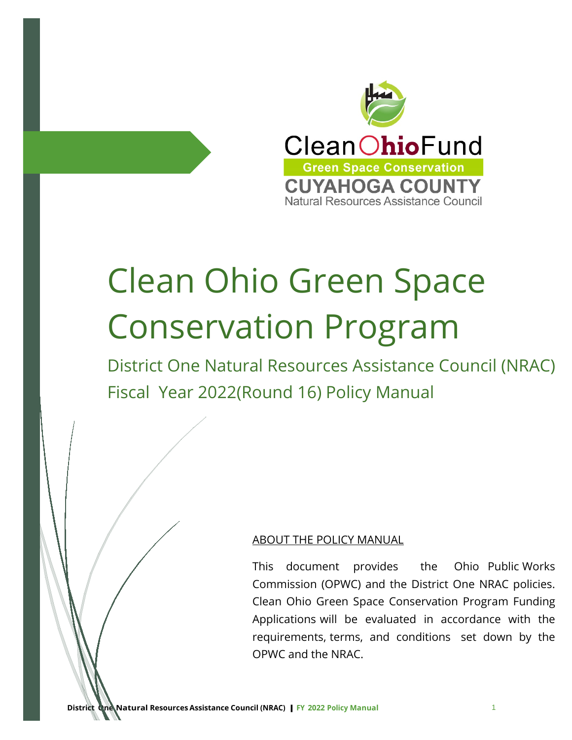

# Clean Ohio Green Space Conservation Program

District One Natural Resources Assistance Council (NRAC) Fiscal Year 2022(Round 16) Policy Manual

## ABOUT THE POLICY MANUAL

This document provides the Ohio Public Works Commission (OPWC) and the District One NRAC policies. Clean Ohio Green Space Conservation Program Funding Applications will be evaluated in accordance with the requirements, terms, and conditions set down by the OPWC and the NRAC.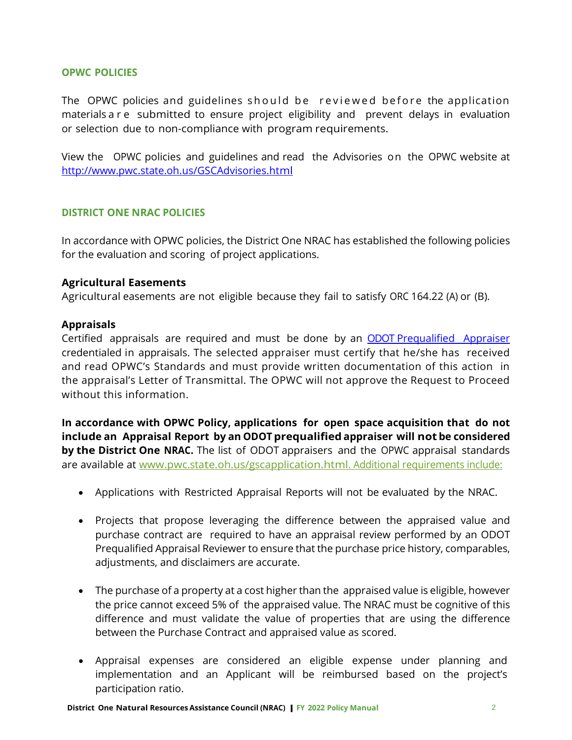#### **OPWC POLICIES**

The OPWC policies and guidelines should be reviewed before the application materials are submitted to ensure project eligibility and prevent delays in evaluation or selection due to non-compliance with program requirements.

View the OPWC policies and guidelines and read the Advisories on the OPWC website at http://www.pwc.state.oh.us/GSCAdvisories.html

## **DISTRICT ONE NRAC POLICIES**

In accordance with OPWC policies, the District One NRAC has established the following policies for the evaluation and scoring of project applications.

#### **Agricultural Easements**

Agricultural easements are not eligible because they fail to satisfy ORC 164.22 (A) or (B).

#### **Appraisals**

Certified appraisals are required and must be done by an ODOT Prequalified Appraiser credentialed in appraisals. The selected appraiser must certify that he/she has received and read OPWC's Standards and must provide written documentation of this action in the appraisal's Letter of Transmittal. The OPWC will not approve the Request to Proceed without this information.

**In accordance with OPWC Policy, applications for open space acquisition that do not include an Appraisal Report by an ODOT prequalified appraiser will notbe considered by the District One NRAC.** The list of ODOT appraisers and the OPWC appraisal standards are available at www.pwc.state.oh.us/gscapplication.html. Additional requirements include:

- Applications with Restricted Appraisal Reports will not be evaluated by the NRAC.
- Projects that propose leveraging the difference between the appraised value and purchase contract are required to have an appraisal review performed by an ODOT Prequalified Appraisal Reviewer to ensure that the purchase price history, comparables, adjustments, and disclaimers are accurate.
- The purchase of a property at a cost higher than the appraised value is eligible, however the price cannot exceed 5% of the appraised value. The NRAC must be cognitive of this difference and must validate the value of properties that are using the difference between the Purchase Contract and appraised value as scored.
- Appraisal expenses are considered an eligible expense under planning and implementation and an Applicant will be reimbursed based on the project's participation ratio.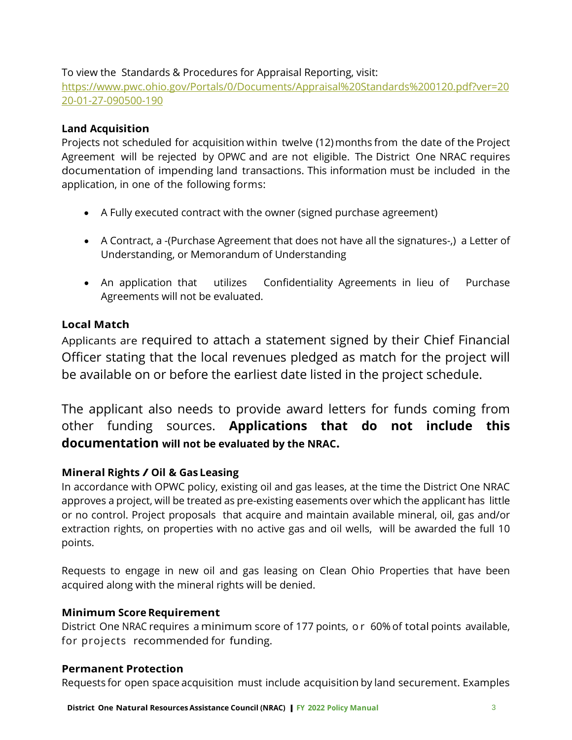# To view the Standards & Procedures for Appraisal Reporting, visit:

https://www.pwc.ohio.gov/Portals/0/Documents/Appraisal%20Standards%200120.pdf?ver=20 20-01-27-090500-190

# **Land Acquisition**

Projects not scheduled for acquisition within twelve (12)months from the date of the Project Agreement will be rejected by OPWC and are not eligible. The District One NRAC requires documentation of impending land transactions. This information must be included in the application, in one of the following forms:

- A Fully executed contract with the owner (signed purchase agreement)
- A Contract, a -(Purchase Agreement that does not have all the signatures-,) a Letter of Understanding, or Memorandum of Understanding
- An application that utilizes Confidentiality Agreements in lieu of Purchase Agreements will not be evaluated.

# **Local Match**

Applicants are required to attach a statement signed by their Chief Financial Officer stating that the local revenues pledged as match for the project will be available on or before the earliest date listed in the project schedule.

The applicant also needs to provide award letters for funds coming from other funding sources. **Applications that do not include this documentation will not be evaluated by the NRAC.**

# **Mineral Rights / Oil & Gas Leasing**

In accordance with OPWC policy, existing oil and gas leases, at the time the District One NRAC approves a project, will be treated as pre-existing easements over which the applicant has little or no control. Project proposals that acquire and maintain available mineral, oil, gas and/or extraction rights, on properties with no active gas and oil wells, will be awarded the full 10 points.

Requests to engage in new oil and gas leasing on Clean Ohio Properties that have been acquired along with the mineral rights will be denied.

# **Minimum Score Requirement**

District One NRAC requires a minimum score of 177 points, or 60% of total points available, for projects recommended for funding.

## **Permanent Protection**

Requests for open space acquisition must include acquisition by land securement. Examples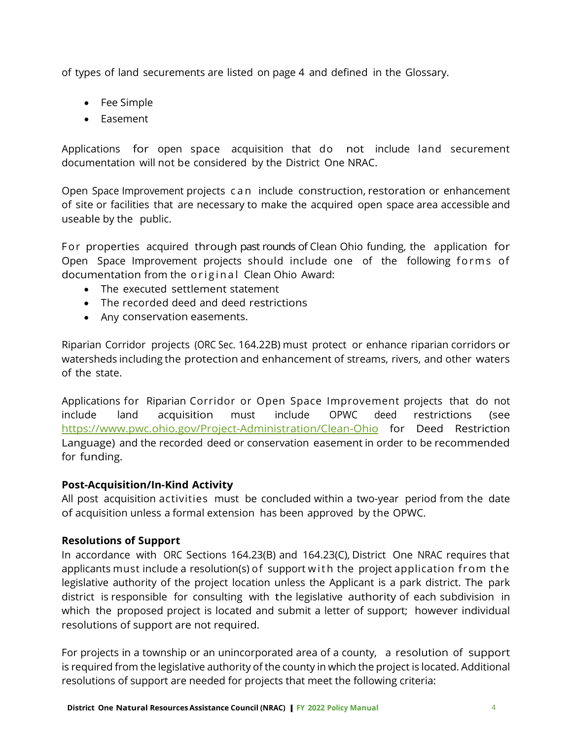of types of land securements are listed on page 4 and defined in the Glossary.

- Fee Simple
- Easement

Applications for open space acquisition that do not include land securement documentation will not be considered by the District One NRAC.

Open Space Improvement projects can include construction, restoration or enhancement of site or facilities that are necessary to make the acquired open space area accessible and useable by the public.

For properties acquired through past rounds of Clean Ohio funding, the application for Open Space Improvement projects should include one of the following forms of documentation from the original Clean Ohio Award:

- The executed settlement statement
- The recorded deed and deed restrictions
- Any conservation easements.

Riparian Corridor projects (ORC Sec. 164.22B) must protect or enhance riparian corridors or watersheds including the protection and enhancement of streams, rivers, and other waters of the state.

Applications for Riparian Corridor or Open Space Improvement projects that do not include land acquisition must include OPWC deed restrictions (see https://www.pwc.ohio.gov/Project-Administration/Clean-Ohio for Deed Restriction Language) and the recorded deed or conservation easement in order to be recommended for funding.

## **Post-Acquisition/In-Kind Activity**

All post acquisition activities must be concluded within a two-year period from the date of acquisition unless a formal extension has been approved by the OPWC.

## **Resolutions of Support**

In accordance with ORC Sections 164.23(B) and 164.23(C), District One NRAC requires that applicants must include a resolution(s) of support with the project application from the legislative authority of the project location unless the Applicant is a park district. The park district is responsible for consulting with the legislative authority of each subdivision in which the proposed project is located and submit a letter of support; however individual resolutions of support are not required.

For projects in a township or an unincorporated area of a county, a resolution of support is required from the legislative authority of the county in which the project is located. Additional resolutions of support are needed for projects that meet the following criteria: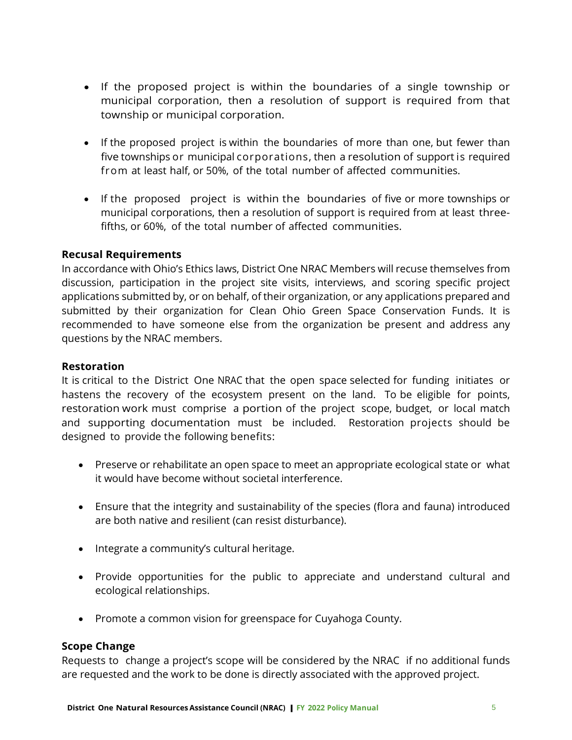- If the proposed project is within the boundaries of a single township or municipal corporation, then a resolution of support is required from that township or municipal corporation.
- If the proposed project is within the boundaries of more than one, but fewer than five townships or municipal corporations, then a resolution of support is required from at least half, or 50%, of the total number of affected communities.
- If the proposed project is within the boundaries of five or more townships or municipal corporations, then a resolution of support is required from at least threefifths, or 60%, of the total number of affected communities.

## **Recusal Requirements**

In accordance with Ohio's Ethics laws, District One NRAC Members will recuse themselves from discussion, participation in the project site visits, interviews, and scoring specific project applications submitted by, or on behalf, of their organization, or any applications prepared and submitted by their organization for Clean Ohio Green Space Conservation Funds. It is recommended to have someone else from the organization be present and address any questions by the NRAC members.

## **Restoration**

It is critical to the District One NRAC that the open space selected for funding initiates or hastens the recovery of the ecosystem present on the land. To be eligible for points, restoration work must comprise a portion of the project scope, budget, or local match and supporting documentation must be included. Restoration projects should be designed to provide the following benefits:

- Preserve or rehabilitate an open space to meet an appropriate ecological state or what it would have become without societal interference.
- Ensure that the integrity and sustainability of the species (flora and fauna) introduced are both native and resilient (can resist disturbance).
- Integrate a community's cultural heritage.
- Provide opportunities for the public to appreciate and understand cultural and ecological relationships.
- Promote a common vision for greenspace for Cuyahoga County.

## **Scope Change**

Requests to change a project's scope will be considered by the NRAC if no additional funds are requested and the work to be done is directly associated with the approved project.